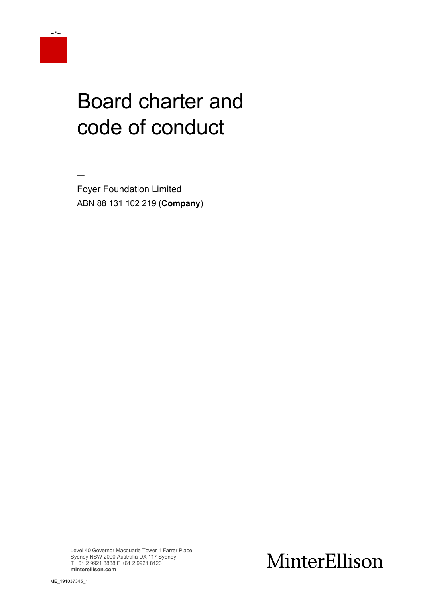

 $\overline{\phantom{a}}$ 

# Board charter and code of conduct

 $\overline{\phantom{a}}$ Foyer Foundation Limited ABN 88 131 102 219 (**Company**)

Level 40 Governor Macquarie Tower 1 Farrer Place Sydney NSW 2000 Australia DX 117 Sydney T +61 2 9921 8888 F +61 2 9921 8123 **minterellison.com**

# MinterEllison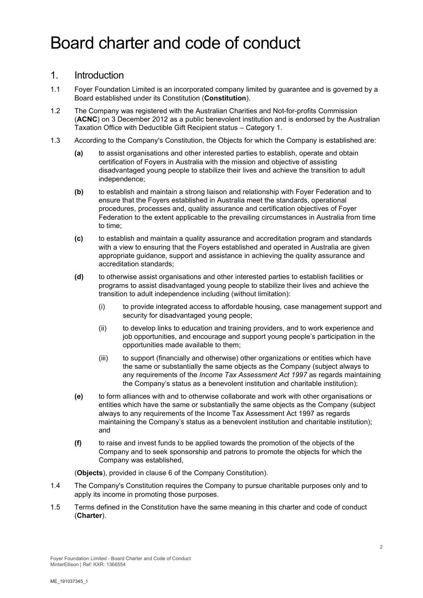# Board charter and code of conduct

#### 1. Introduction

- 1.1 Foyer Foundation Limited is an incorporated company limited by guarantee and is governed by a Board established under its Constitution (**Constitution**).
- 1.2 The Company was registered with the Australian Charities and Not-for-profits Commission (**ACNC**) on 3 December 2012 as a public benevolent institution and is endorsed by the Australian Taxation Office with Deductible Gift Recipient status – Category 1.
- 1.3 According to the Company's Constitution, the Objects for which the Company is established are:
	- **(a)** to assist organisations and other interested parties to establish, operate and obtain certification of Foyers in Australia with the mission and objective of assisting disadvantaged young people to stabilize their lives and achieve the transition to adult independence;
	- **(b)** to establish and maintain a strong liaison and relationship with Foyer Federation and to ensure that the Foyers established in Australia meet the standards, operational procedures, processes and, quality assurance and certification objectives of Foyer Federation to the extent applicable to the prevailing circumstances in Australia from time to time;
	- **(c)** to establish and maintain a quality assurance and accreditation program and standards with a view to ensuring that the Foyers established and operated in Australia are given appropriate guidance, support and assistance in achieving the quality assurance and accreditation standards;
	- **(d)** to otherwise assist organisations and other interested parties to establish facilities or programs to assist disadvantaged young people to stabilize their lives and achieve the transition to adult independence including (without limitation):
		- (i) to provide integrated access to affordable housing, case management support and security for disadvantaged young people;
		- (ii) to develop links to education and training providers, and to work experience and job opportunities, and encourage and support young people's participation in the opportunities made available to them;
		- (iii) to support (financially and otherwise) other organizations or entities which have the same or substantially the same objects as the Company (subject always to any requirements of the *Income Tax Assessment Act 1997* as regards maintaining the Company's status as a benevolent institution and charitable institution);
	- **(e)** to form alliances with and to otherwise collaborate and work with other organisations or entities which have the same or substantially the same objects as the Company (subject always to any requirements of the Income Tax Assessment Act 1997 as regards maintaining the Company's status as a benevolent institution and charitable institution); and
	- **(f)** to raise and invest funds to be applied towards the promotion of the objects of the Company and to seek sponsorship and patrons to promote the objects for which the Company was established,

(**Objects**), provided in clause 6 of the Company Constitution).

- 1.4 The Company's Constitution requires the Company to pursue charitable purposes only and to apply its income in promoting those purposes.
- 1.5 Terms defined in the Constitution have the same meaning in this charter and code of conduct (**Charter**).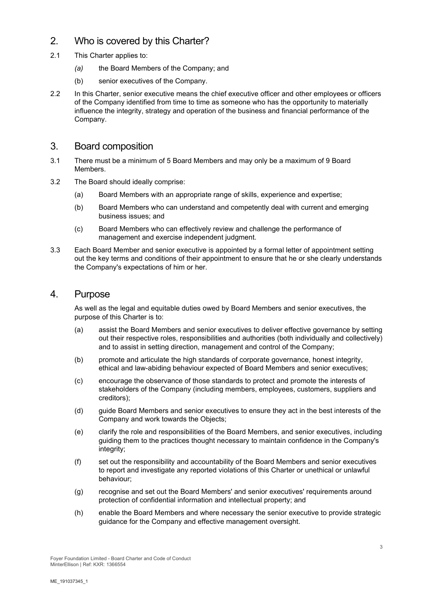# 2. Who is covered by this Charter?

- 2.1 This Charter applies to:
	- *(a)* the Board Members of the Company; and
	- (b) senior executives of the Company.
- 2.2 In this Charter, senior executive means the chief executive officer and other employees or officers of the Company identified from time to time as someone who has the opportunity to materially influence the integrity, strategy and operation of the business and financial performance of the Company.

#### 3. Board composition

- 3.1 There must be a minimum of 5 Board Members and may only be a maximum of 9 Board Members.
- 3.2 The Board should ideally comprise:
	- (a) Board Members with an appropriate range of skills, experience and expertise;
	- (b) Board Members who can understand and competently deal with current and emerging business issues; and
	- (c) Board Members who can effectively review and challenge the performance of management and exercise independent judgment.
- 3.3 Each Board Member and senior executive is appointed by a formal letter of appointment setting out the key terms and conditions of their appointment to ensure that he or she clearly understands the Company's expectations of him or her.

#### 4. Purpose

As well as the legal and equitable duties owed by Board Members and senior executives, the purpose of this Charter is to:

- (a) assist the Board Members and senior executives to deliver effective governance by setting out their respective roles, responsibilities and authorities (both individually and collectively) and to assist in setting direction, management and control of the Company;
- (b) promote and articulate the high standards of corporate governance, honest integrity, ethical and law-abiding behaviour expected of Board Members and senior executives;
- (c) encourage the observance of those standards to protect and promote the interests of stakeholders of the Company (including members, employees, customers, suppliers and creditors);
- (d) guide Board Members and senior executives to ensure they act in the best interests of the Company and work towards the Objects;
- (e) clarify the role and responsibilities of the Board Members, and senior executives, including guiding them to the practices thought necessary to maintain confidence in the Company's integrity;
- (f) set out the responsibility and accountability of the Board Members and senior executives to report and investigate any reported violations of this Charter or unethical or unlawful behaviour;
- (g) recognise and set out the Board Members' and senior executives' requirements around protection of confidential information and intellectual property; and
- (h) enable the Board Members and where necessary the senior executive to provide strategic guidance for the Company and effective management oversight.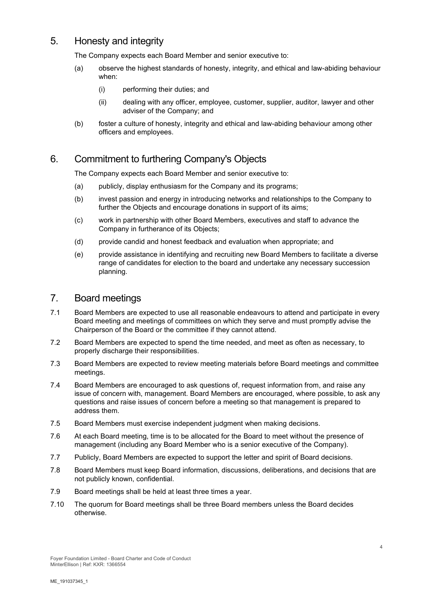# 5. Honesty and integrity

The Company expects each Board Member and senior executive to:

- (a) observe the highest standards of honesty, integrity, and ethical and law-abiding behaviour when:
	- (i) performing their duties; and
	- (ii) dealing with any officer, employee, customer, supplier, auditor, lawyer and other adviser of the Company; and
- (b) foster a culture of honesty, integrity and ethical and law-abiding behaviour among other officers and employees.

# 6. Commitment to furthering Company's Objects

The Company expects each Board Member and senior executive to:

- (a) publicly, display enthusiasm for the Company and its programs;
- (b) invest passion and energy in introducing networks and relationships to the Company to further the Objects and encourage donations in support of its aims;
- (c) work in partnership with other Board Members, executives and staff to advance the Company in furtherance of its Objects;
- (d) provide candid and honest feedback and evaluation when appropriate; and
- (e) provide assistance in identifying and recruiting new Board Members to facilitate a diverse range of candidates for election to the board and undertake any necessary succession planning.

#### 7. Board meetings

- 7.1 Board Members are expected to use all reasonable endeavours to attend and participate in every Board meeting and meetings of committees on which they serve and must promptly advise the Chairperson of the Board or the committee if they cannot attend.
- 7.2 Board Members are expected to spend the time needed, and meet as often as necessary, to properly discharge their responsibilities.
- 7.3 Board Members are expected to review meeting materials before Board meetings and committee meetings.
- 7.4 Board Members are encouraged to ask questions of, request information from, and raise any issue of concern with, management. Board Members are encouraged, where possible, to ask any questions and raise issues of concern before a meeting so that management is prepared to address them.
- 7.5 Board Members must exercise independent judgment when making decisions.
- 7.6 At each Board meeting, time is to be allocated for the Board to meet without the presence of management (including any Board Member who is a senior executive of the Company).
- 7.7 Publicly, Board Members are expected to support the letter and spirit of Board decisions.
- 7.8 Board Members must keep Board information, discussions, deliberations, and decisions that are not publicly known, confidential.
- 7.9 Board meetings shall be held at least three times a year.
- 7.10 The quorum for Board meetings shall be three Board members unless the Board decides otherwise.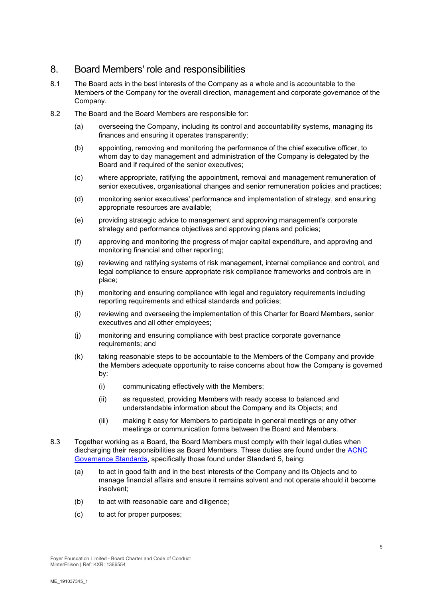# 8. Board Members' role and responsibilities

- 8.1 The Board acts in the best interests of the Company as a whole and is accountable to the Members of the Company for the overall direction, management and corporate governance of the Company.
- 8.2 The Board and the Board Members are responsible for:
	- (a) overseeing the Company, including its control and accountability systems, managing its finances and ensuring it operates transparently;
	- (b) appointing, removing and monitoring the performance of the chief executive officer, to whom day to day management and administration of the Company is delegated by the Board and if required of the senior executives;
	- (c) where appropriate, ratifying the appointment, removal and management remuneration of senior executives, organisational changes and senior remuneration policies and practices;
	- (d) monitoring senior executives' performance and implementation of strategy, and ensuring appropriate resources are available;
	- (e) providing strategic advice to management and approving management's corporate strategy and performance objectives and approving plans and policies;
	- (f) approving and monitoring the progress of major capital expenditure, and approving and monitoring financial and other reporting;
	- (g) reviewing and ratifying systems of risk management, internal compliance and control, and legal compliance to ensure appropriate risk compliance frameworks and controls are in place;
	- (h) monitoring and ensuring compliance with legal and regulatory requirements including reporting requirements and ethical standards and policies;
	- (i) reviewing and overseeing the implementation of this Charter for Board Members, senior executives and all other employees;
	- (j) monitoring and ensuring compliance with best practice corporate governance requirements; and
	- (k) taking reasonable steps to be accountable to the Members of the Company and provide the Members adequate opportunity to raise concerns about how the Company is governed by:
		- (i) communicating effectively with the Members;
		- (ii) as requested, providing Members with ready access to balanced and understandable information about the Company and its Objects; and
		- (iii) making it easy for Members to participate in general meetings or any other meetings or communication forms between the Board and Members.
- 8.3 Together working as a Board, the Board Members must comply with their legal duties when discharging their responsibilities as Board Members. These duties are found under the [ACNC](https://www.acnc.gov.au/for-charities/manage-your-charity/governance-hub/governance-standards)  [Governance Standards,](https://www.acnc.gov.au/for-charities/manage-your-charity/governance-hub/governance-standards) specifically those found under Standard 5, being:
	- (a) to act in good faith and in the best interests of the Company and its Objects and to manage financial affairs and ensure it remains solvent and not operate should it become insolvent;
	- (b) to act with reasonable care and diligence;
	- (c) to act for proper purposes;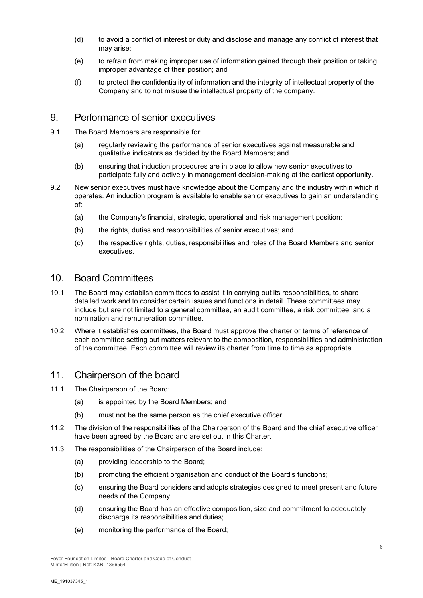- (d) to avoid a conflict of interest or duty and disclose and manage any conflict of interest that may arise;
- (e) to refrain from making improper use of information gained through their position or taking improper advantage of their position; and
- (f) to protect the confidentiality of information and the integrity of intellectual property of the Company and to not misuse the intellectual property of the company.

#### 9. Performance of senior executives

- 9.1 The Board Members are responsible for:
	- (a) regularly reviewing the performance of senior executives against measurable and qualitative indicators as decided by the Board Members; and
	- (b) ensuring that induction procedures are in place to allow new senior executives to participate fully and actively in management decision-making at the earliest opportunity.
- 9.2 New senior executives must have knowledge about the Company and the industry within which it operates. An induction program is available to enable senior executives to gain an understanding of:
	- (a) the Company's financial, strategic, operational and risk management position;
	- (b) the rights, duties and responsibilities of senior executives; and
	- (c) the respective rights, duties, responsibilities and roles of the Board Members and senior executives.

#### 10. Board Committees

- 10.1 The Board may establish committees to assist it in carrying out its responsibilities, to share detailed work and to consider certain issues and functions in detail. These committees may include but are not limited to a general committee, an audit committee, a risk committee, and a nomination and remuneration committee.
- 10.2 Where it establishes committees, the Board must approve the charter or terms of reference of each committee setting out matters relevant to the composition, responsibilities and administration of the committee. Each committee will review its charter from time to time as appropriate.

#### 11. Chairperson of the board

- 11.1 The Chairperson of the Board:
	- (a) is appointed by the Board Members; and
	- (b) must not be the same person as the chief executive officer.
- 11.2 The division of the responsibilities of the Chairperson of the Board and the chief executive officer have been agreed by the Board and are set out in this Charter.
- 11.3 The responsibilities of the Chairperson of the Board include:
	- (a) providing leadership to the Board;
	- (b) promoting the efficient organisation and conduct of the Board's functions;
	- (c) ensuring the Board considers and adopts strategies designed to meet present and future needs of the Company;
	- (d) ensuring the Board has an effective composition, size and commitment to adequately discharge its responsibilities and duties;
	- (e) monitoring the performance of the Board;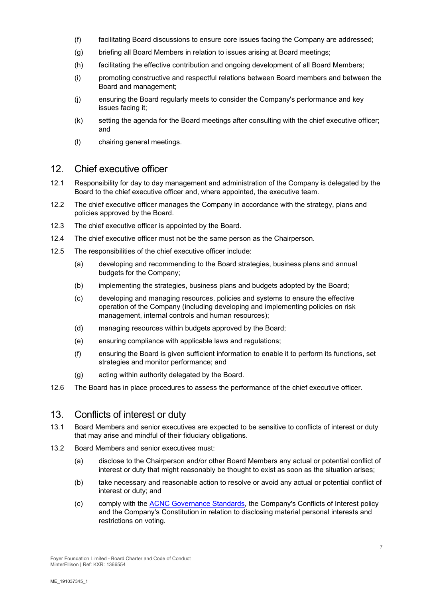- (f) facilitating Board discussions to ensure core issues facing the Company are addressed;
- (g) briefing all Board Members in relation to issues arising at Board meetings;
- (h) facilitating the effective contribution and ongoing development of all Board Members;
- (i) promoting constructive and respectful relations between Board members and between the Board and management;
- (j) ensuring the Board regularly meets to consider the Company's performance and key issues facing it;
- (k) setting the agenda for the Board meetings after consulting with the chief executive officer; and
- (l) chairing general meetings.

# 12. Chief executive officer

- 12.1 Responsibility for day to day management and administration of the Company is delegated by the Board to the chief executive officer and, where appointed, the executive team.
- 12.2 The chief executive officer manages the Company in accordance with the strategy, plans and policies approved by the Board.
- 12.3 The chief executive officer is appointed by the Board.
- 12.4 The chief executive officer must not be the same person as the Chairperson.
- 12.5 The responsibilities of the chief executive officer include:
	- (a) developing and recommending to the Board strategies, business plans and annual budgets for the Company;
	- (b) implementing the strategies, business plans and budgets adopted by the Board;
	- (c) developing and managing resources, policies and systems to ensure the effective operation of the Company (including developing and implementing policies on risk management, internal controls and human resources);
	- (d) managing resources within budgets approved by the Board;
	- (e) ensuring compliance with applicable laws and regulations;
	- (f) ensuring the Board is given sufficient information to enable it to perform its functions, set strategies and monitor performance; and
	- (g) acting within authority delegated by the Board.
- 12.6 The Board has in place procedures to assess the performance of the chief executive officer.

# 13. Conflicts of interest or duty

- 13.1 Board Members and senior executives are expected to be sensitive to conflicts of interest or duty that may arise and mindful of their fiduciary obligations.
- 13.2 Board Members and senior executives must:
	- (a) disclose to the Chairperson and/or other Board Members any actual or potential conflict of interest or duty that might reasonably be thought to exist as soon as the situation arises;
	- (b) take necessary and reasonable action to resolve or avoid any actual or potential conflict of interest or duty; and
	- (c) comply with the [ACNC Governance Standards,](https://www.acnc.gov.au/for-charities/manage-your-charity/governance-hub/governance-standards) the Company's Conflicts of Interest policy and the Company's Constitution in relation to disclosing material personal interests and restrictions on voting.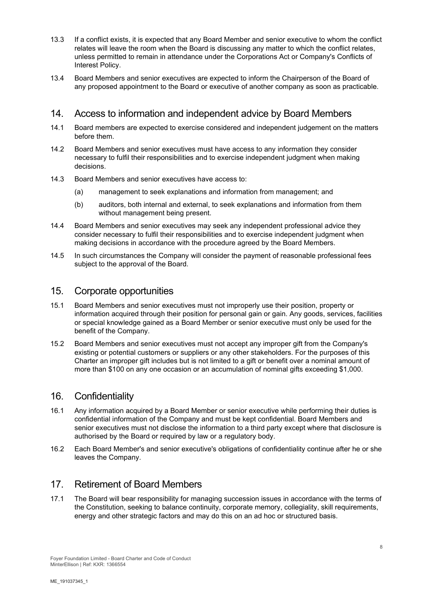- 13.3 If a conflict exists, it is expected that any Board Member and senior executive to whom the conflict relates will leave the room when the Board is discussing any matter to which the conflict relates, unless permitted to remain in attendance under the Corporations Act or Company's Conflicts of Interest Policy.
- 13.4 Board Members and senior executives are expected to inform the Chairperson of the Board of any proposed appointment to the Board or executive of another company as soon as practicable.

# 14. Access to information and independent advice by Board Members

- 14.1 Board members are expected to exercise considered and independent judgement on the matters before them.
- 14.2 Board Members and senior executives must have access to any information they consider necessary to fulfil their responsibilities and to exercise independent judgment when making decisions.
- 14.3 Board Members and senior executives have access to:
	- (a) management to seek explanations and information from management; and
	- (b) auditors, both internal and external, to seek explanations and information from them without management being present.
- 14.4 Board Members and senior executives may seek any independent professional advice they consider necessary to fulfil their responsibilities and to exercise independent judgment when making decisions in accordance with the procedure agreed by the Board Members.
- 14.5 In such circumstances the Company will consider the payment of reasonable professional fees subject to the approval of the Board.

#### 15. Corporate opportunities

- 15.1 Board Members and senior executives must not improperly use their position, property or information acquired through their position for personal gain or gain. Any goods, services, facilities or special knowledge gained as a Board Member or senior executive must only be used for the benefit of the Company.
- 15.2 Board Members and senior executives must not accept any improper gift from the Company's existing or potential customers or suppliers or any other stakeholders. For the purposes of this Charter an improper gift includes but is not limited to a gift or benefit over a nominal amount of more than \$100 on any one occasion or an accumulation of nominal gifts exceeding \$1,000.

#### 16. Confidentiality

- 16.1 Any information acquired by a Board Member or senior executive while performing their duties is confidential information of the Company and must be kept confidential. Board Members and senior executives must not disclose the information to a third party except where that disclosure is authorised by the Board or required by law or a regulatory body.
- 16.2 Each Board Member's and senior executive's obligations of confidentiality continue after he or she leaves the Company.

# 17. Retirement of Board Members

17.1 The Board will bear responsibility for managing succession issues in accordance with the terms of the Constitution, seeking to balance continuity, corporate memory, collegiality, skill requirements, energy and other strategic factors and may do this on an ad hoc or structured basis.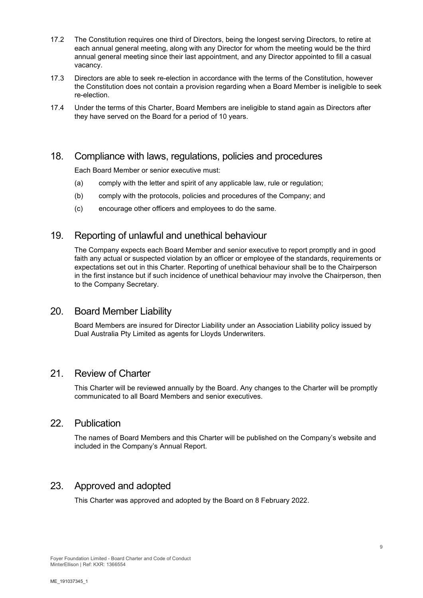- 17.2 The Constitution requires one third of Directors, being the longest serving Directors, to retire at each annual general meeting, along with any Director for whom the meeting would be the third annual general meeting since their last appointment, and any Director appointed to fill a casual vacancy.
- 17.3 Directors are able to seek re-election in accordance with the terms of the Constitution, however the Constitution does not contain a provision regarding when a Board Member is ineligible to seek re-election.
- 17.4 Under the terms of this Charter, Board Members are ineligible to stand again as Directors after they have served on the Board for a period of 10 years.

# 18. Compliance with laws, regulations, policies and procedures

Each Board Member or senior executive must:

- (a) comply with the letter and spirit of any applicable law, rule or regulation;
- (b) comply with the protocols, policies and procedures of the Company; and
- (c) encourage other officers and employees to do the same.

# 19. Reporting of unlawful and unethical behaviour

The Company expects each Board Member and senior executive to report promptly and in good faith any actual or suspected violation by an officer or employee of the standards, requirements or expectations set out in this Charter. Reporting of unethical behaviour shall be to the Chairperson in the first instance but if such incidence of unethical behaviour may involve the Chairperson, then to the Company Secretary.

#### 20. Board Member Liability

Board Members are insured for Director Liability under an Association Liability policy issued by Dual Australia Pty Limited as agents for Lloyds Underwriters.

#### 21. Review of Charter

This Charter will be reviewed annually by the Board. Any changes to the Charter will be promptly communicated to all Board Members and senior executives.

#### 22. Publication

The names of Board Members and this Charter will be published on the Company's website and included in the Company's Annual Report.

# 23. Approved and adopted

This Charter was approved and adopted by the Board on 8 February 2022.